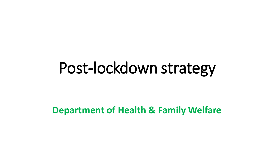# Post-lockdown strategy

**Department of Health & Family Welfare**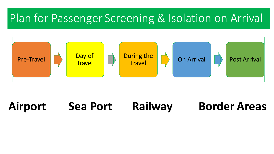### Plan for Passenger Screening & Isolation on Arrival



### **Airport Sea Port Railway Border Areas**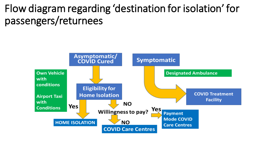#### Flow diagram regarding 'destination for isolation' for passengers/returnees

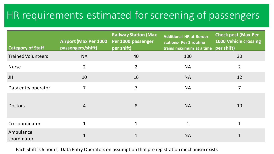#### HR requirements estimated for screening of passengers

| <b>Category of Staff</b>  | <b>Airport (Max Per 1000</b><br>passengers/shift) | <b>Railway Station (Max</b><br>Per 1000 passenger<br>per shift) | <b>Additional HR at Border</b><br>stations- Per 2 routine<br>trains maximum at a time | <b>Check post (Max Per</b><br><b>1000 Vehicle crossing</b><br>per shift) |
|---------------------------|---------------------------------------------------|-----------------------------------------------------------------|---------------------------------------------------------------------------------------|--------------------------------------------------------------------------|
| <b>Trained Volunteers</b> | <b>NA</b>                                         | 40                                                              | 100                                                                                   | 30                                                                       |
| <b>Nurse</b>              | $\overline{2}$                                    | $\overline{2}$                                                  | <b>NA</b>                                                                             | $\overline{2}$                                                           |
| <b>JHI</b>                | 10                                                | 16                                                              | <b>NA</b>                                                                             | 12                                                                       |
| Data entry operator       | $\overline{7}$                                    | $\overline{7}$                                                  | <b>NA</b>                                                                             | $\overline{7}$                                                           |
| <b>Doctors</b>            | $\overline{4}$                                    | 8                                                               | <b>NA</b>                                                                             | 10                                                                       |
| Co-coordinator            | $\mathbf{1}$                                      | $\mathbf{1}$                                                    | $\mathbf 1$                                                                           | $\overline{1}$                                                           |
| Ambulance<br>coordinator  |                                                   | $\mathbf 1$                                                     | <b>NA</b>                                                                             |                                                                          |

Each Shift is 6 hours, Data Entry Operators on assumption that pre registration mechanism exists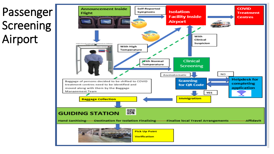# Passenger Screening Airport

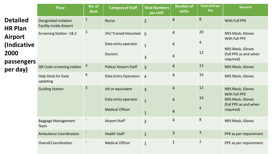|                                                     | <b>Place</b>                                           | No. of<br>desk | <b>Category of Staff</b>                 | <b>Total Numbers</b><br>per shift | <b>Number of</b><br>shifts       | <b>Total staff per</b><br>day | <b>Remarks</b>                                        |
|-----------------------------------------------------|--------------------------------------------------------|----------------|------------------------------------------|-----------------------------------|----------------------------------|-------------------------------|-------------------------------------------------------|
| <b>Detailed</b><br><b>HR Plan</b><br><b>Airport</b> | Designated Isolation<br><b>Facility inside Airport</b> | $\mathbf{1}$   | <b>Nurse</b>                             | $\overline{2}$                    | $\overline{4}$                   | 8                             | With Full PPE                                         |
|                                                     | <b>Screening Station-1&amp;2</b>                       | $\mathsf{3}$   | JHI/Trained Volunteer 5                  |                                   | $\overline{4}$                   | 20                            | N95 Mask, Gloves<br>With full PPE                     |
| (Indicative<br>2000                                 |                                                        |                | Data entry operator<br><b>Doctors</b>    | $\mathbf{1}$                      | $\overline{4}$                   | $\overline{4}$<br>12          | N95 Mask, Gloves<br>(full PPE as and when             |
| passengers<br>per day)                              | QR Code screening station                              | $\mathbf{3}$   | <b>Police/Airport Staff</b>              | 3<br>$\overline{3}$               | 4<br>$\overline{4}$              | 12                            | required)<br>N95 Mask, Gloves                         |
|                                                     | Help Desk for Data<br>updating                         | $\overline{4}$ | Data Entry Operators 4                   |                                   | $\overline{4}$                   | 16                            | N95 Mask, Gloves                                      |
|                                                     | <b>Guiding Station</b>                                 | 3              | JHI or equivalent<br>Data entry operator | $\overline{3}$                    | $\overline{4}$<br>$\overline{4}$ | 12<br>16                      | N95 Mask, Gloves<br>With full PPE<br>N95 Mask, Gloves |
|                                                     |                                                        |                | <b>Medical Officer</b>                   | $\mathbf{1}$<br>$\mathbf{1}$      | $\overline{4}$                   | $\overline{4}$                | (full PPE as and when<br>required)                    |
|                                                     | <b>Baggage Management</b><br>Team                      |                | <b>Airport Staff</b>                     | $\overline{2}$                    | 4                                | 8                             | N95 Mask, Gloves                                      |
|                                                     | <b>Ambulance Coordination</b>                          |                | <b>Health Staff</b>                      | $\mathbf{1}$                      | $\overline{3}$                   | $\overline{3}$                | PPE as per requirement                                |
|                                                     | <b>Overall Coordination</b>                            |                | <b>Medical Officer</b>                   | $\mathbf{1}$                      | $\mathbf{1}$                     | $\mathbf{1}$                  | PPE as per requirement                                |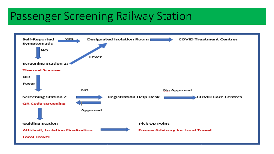#### Passenger Screening Railway Station

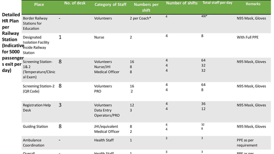|                                                                                   | <b>Place</b>                                                                           | No. of desk    | <b>Category of Staff</b>                          | <b>Numbers per</b><br>shift | <b>Number of shifts</b> | <b>Total staff per day</b> | <b>Remarks</b>            |
|-----------------------------------------------------------------------------------|----------------------------------------------------------------------------------------|----------------|---------------------------------------------------|-----------------------------|-------------------------|----------------------------|---------------------------|
| <b>Detailed</b><br><b>HR Plan</b><br>per<br>Railway<br><b>Station</b><br>for 5000 | <b>Border Railway</b><br><b>Stations for</b><br>Education                              |                | Volunteers                                        | 2 per Coach*                | $\overline{4}$          | $400*$                     | N95 Mask, Gloves          |
|                                                                                   | Designated<br><b>Isolation Facility</b><br><b>(Indicative</b> nside Railway<br>Station | $\mathbf 1$    | <b>Nurse</b>                                      | $\overline{2}$              | 4                       | 8                          | With Full PPE             |
| passenger<br>s exit per<br>day)                                                   | <b>Screening Station-</b><br>1&2<br>(Temperature/Clinic<br>al Exam)                    | 8              | Volunteers<br>Nurse/JHI<br><b>Medical Officer</b> | 16<br>8<br>8                | 4<br>4<br>4             | 64<br>32<br>32             | N95 Mask, Gloves          |
|                                                                                   | Screening Station-2 8<br>(QR Code)                                                     |                | Volunteers<br><b>PRO</b>                          | 16<br>$\overline{2}$        | $\overline{4}$<br>4     | 64<br>8                    | N95 Mask, Gloves          |
|                                                                                   | <b>Registration Help</b><br><b>Desk</b>                                                | $\overline{3}$ | Volunteers<br>Data Entry<br>Operators/PRO         | 12<br>3                     | $\overline{4}$<br>4     | 36<br>12                   | N95 Mask, Gloves          |
|                                                                                   | <b>Guiding Station</b>                                                                 | 8              | JHI/equivalent<br><b>Medical Officer</b>          | $\bf 8$<br>$\overline{2}$   | 4<br>4                  | 32<br>8                    | N95 Mask, Gloves          |
|                                                                                   | Ambulance<br>Coordination                                                              |                | <b>Health Staff</b>                               | $\mathbf{1}$                | $\mathbf{3}$            | $\mathsf{3}$               | PPE as per<br>requirement |
|                                                                                   | Quarall                                                                                |                | Hoalth Staff                                      | $\blacktriangleleft$        | 3                       | 3                          | DDE ac nor                |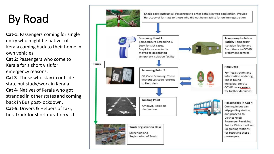# By Road

**Cat-1:** Passengers coming for single entry who might be natives of Kerala coming back to their home in own vehicles

**Cat 2: Passengers who come to** Kerala for a short visit for emergency reasons.

**Cat 3**- Those who stay in outside state but study/work in Kerala **Cat 4**- Natives of Kerala who got stranded in other states and coming back in Bus post-lockdown. **Cat-5:** Drivers & Helpers of taxi, bus, truck for short duration visits.

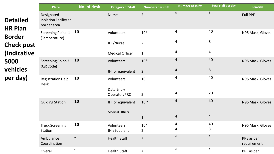|                                   | <b>Place</b>                                              | No. of desk | <b>Category of Staff</b>   | <b>Numbers per shift</b> | <b>Number of shifts</b> | <b>Total staff per day</b> | <b>Remarks</b>            |
|-----------------------------------|-----------------------------------------------------------|-------------|----------------------------|--------------------------|-------------------------|----------------------------|---------------------------|
| <b>Detailed</b><br><b>HR Plan</b> | Designated<br><b>Isolation Facility at</b><br>border area |             | <b>Nurse</b>               | $\overline{2}$           | 4                       | 8                          | <b>Full PPE</b>           |
| <b>Border</b>                     | <b>Screening Point-1</b><br>(Temperature)                 | <b>10</b>   | Volunteers                 | $10*$                    | 4                       | 40                         | N95 Mask, Gloves          |
| <b>Check post</b>                 |                                                           |             | JHI/Nurse                  | $\overline{2}$           | 4                       | $8\,$                      |                           |
| (Indicative                       |                                                           |             | <b>Medical Officer</b>     | $\mathbf{1}$             | 4                       | $\overline{4}$             |                           |
| 5000                              | <b>Screening Point-2</b><br>(QR Code)                     | 10          | Volunteers                 | $10*$                    | $\overline{4}$          | 40                         | N95 Mask, Gloves          |
| vehicles                          |                                                           |             | JHI or equivalent          | $\overline{2}$           | $\overline{4}$          | 8                          |                           |
| per day)                          | Registration Help<br>Desk                                 | 10          | Volunteers                 | 10                       | 4                       | 40                         | N95 Mask, Gloves          |
|                                   |                                                           |             | Data Entry<br>Operator/PRO | 5                        | 4                       | 20                         |                           |
|                                   | <b>Guiding Station</b>                                    | 10          | JHI or equivalent          | $10*$                    | 4                       | 40                         | N95 Mask, Gloves          |
|                                   |                                                           |             | <b>Medical Officer</b>     | $\mathbf{1}$             | 4                       | $\overline{4}$             |                           |
|                                   | <b>Truck Screening</b><br>Station                         | 10          | Volunteers<br>JHI/Equalent | $10*$<br>$\overline{2}$  | 4<br>4                  | 40<br>8                    | N95 Mask, Gloves          |
|                                   | Ambulance<br>Coordination                                 |             | <b>Health Staff</b>        | $\mathbf{1}$             | 4                       | 4                          | PPE as per<br>requirement |
|                                   | Overall                                                   |             | <b>Health Staff</b>        | $\mathbf 1$              | 4                       | 4                          | PPE as per                |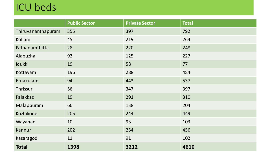### ICU beds

|                    | <b>Public Sector</b> | <b>Private Sector</b> | <b>Total</b> |
|--------------------|----------------------|-----------------------|--------------|
| Thiruvananthapuram | 355                  | 397                   | 792          |
| Kollam             | 45                   | 219                   | 264          |
| Pathanamthitta     | 28                   | 220                   | 248          |
| Alapuzha           | 93                   | 125                   | 227          |
| Idukki             | 19                   | 58                    | 77           |
| Kottayam           | 196                  | 288                   | 484          |
| Ernakulam          | 94                   | 443                   | 537          |
| Thrissur           | 56                   | 347                   | 397          |
| Palakkad           | 19                   | 291                   | 310          |
| Malappuram         | 66                   | 138                   | 204          |
| Kozhikode          | 205                  | 244                   | 449          |
| Wayanad            | 10                   | 93                    | 103          |
| Kannur             | 202                  | 254                   | 456          |
| Kasaragod          | 11                   | 91                    | 102          |
| <b>Total</b>       | 1398                 | 3212                  | 4610         |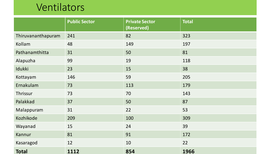### Ventilators

|                    | <b>Public Sector</b> | <b>Private Sector</b><br>(Reserved) | <b>Total</b> |
|--------------------|----------------------|-------------------------------------|--------------|
| Thiruvananthapuram | 241                  | 82                                  | 323          |
| Kollam             | 48                   | 149                                 | 197          |
| Pathanamthitta     | 31                   | 50                                  | 81           |
| Alapuzha           | 99                   | 19                                  | 118          |
| Idukki             | 23                   | 15                                  | 38           |
| Kottayam           | 146                  | 59                                  | 205          |
| Ernakulam          | 73                   | 113                                 | 179          |
| Thrissur           | 73                   | 70                                  | 143          |
| Palakkad           | 37                   | 50                                  | 87           |
| Malappuram         | 31                   | 22                                  | 53           |
| Kozhikode          | 209                  | 100                                 | 309          |
| Wayanad            | 15                   | 24                                  | 39           |
| Kannur             | 81                   | 91                                  | 172          |
| Kasaragod          | 12                   | 10                                  | 22           |
| <b>Total</b>       | 1112                 | 854                                 | 1966         |